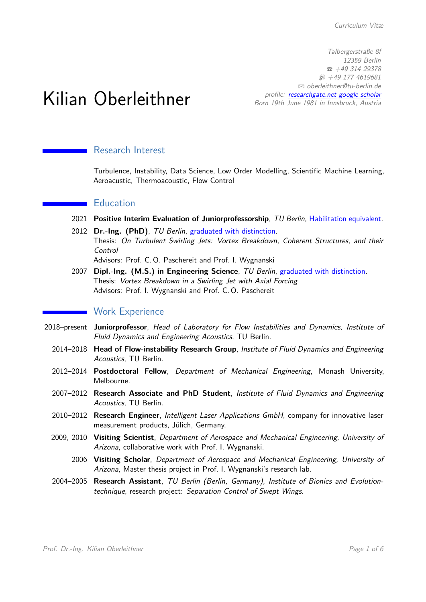Talbergerstraße 8f 12359 Berlin  $\hat{B}$  +49 314 29378  $$$  +49 177 4619681 B [oberleithner@tu-berlin.de](mailto:oberleithner@tu-berlin.de) profile: [researchgate.net](https://www.researchgate.net/profile/Kilian_Oberleithner) [google scholar](https://scholar.google.de/citations?user=_ZHJBtYAAAAJ&hl=de) Born 19th June 1981 in Innsbruck, Austria

# Kilian Oberleithner

#### Research Interest

Turbulence, Instability, Data Science, Low Order Modelling, Scientific Machine Learning, Aeroacustic, Thermoacoustic, Flow Control

#### **Education**

- 2021 **Positive Interim Evaluation of Juniorprofessorship**, TU Berlin, Habilitation equivalent.
- 2012 **Dr.-Ing. (PhD)**, TU Berlin, graduated with distinction. Thesis: On Turbulent Swirling Jets: Vortex Breakdown, Coherent Structures, and their Control

Advisors: Prof. C. O. Paschereit and Prof. I. Wygnanski

2007 **Dipl.-Ing. (M.S.) in Engineering Science**, TU Berlin, graduated with distinction. Thesis: Vortex Breakdown in a Swirling Jet with Axial Forcing Advisors: Prof. I. Wygnanski and Prof. C. O. Paschereit

#### **Work Experience**

- 2018–present **Juniorprofessor**, Head of Laboratory for Flow Instabilities and Dynamics, Institute of Fluid Dynamics and Engineering Acoustics, TU Berlin.
	- 2014–2018 **Head of Flow-instability Research Group**, Institute of Fluid Dynamics and Engineering Acoustics, TU Berlin.
	- 2012–2014 **Postdoctoral Fellow**, Department of Mechanical Engineering, Monash University, Melbourne.
	- 2007–2012 **Research Associate and PhD Student**, Institute of Fluid Dynamics and Engineering Acoustics, TU Berlin.
	- 2010–2012 **Research Engineer**, Intelligent Laser Applications GmbH, company for innovative laser measurement products, Jülich, Germany.
	- 2009, 2010 **Visiting Scientist**, Department of Aerospace and Mechanical Engineering, University of Arizona, collaborative work with Prof. I. Wygnanski.
		- 2006 **Visiting Scholar**, Department of Aerospace and Mechanical Engineering, University of Arizona, Master thesis project in Prof. I. Wygnanski's research lab.
	- 2004–2005 **Research Assistant**, TU Berlin (Berlin, Germany), Institute of Bionics and Evolutiontechnique, research project: Separation Control of Swept Wings.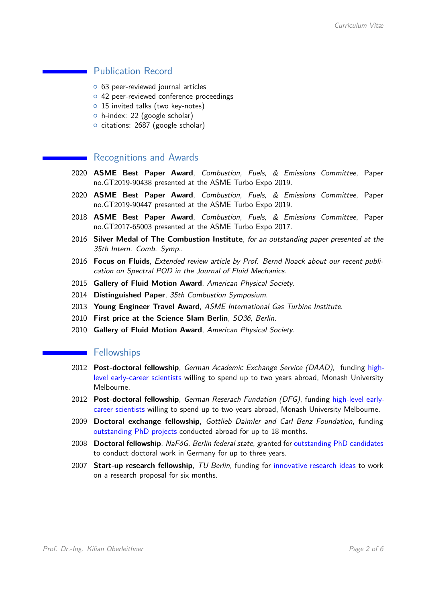# **Publication Record**

- o 63 peer-reviewed journal articles
- o 42 peer-reviewed conference proceedings
- $\circ$  15 invited talks (two key-notes)
- $\circ$  h-index: 22 (google scholar)
- o citations: 2687 (google scholar)

#### Recognitions and Awards

- 2020 **ASME Best Paper Award**, Combustion, Fuels, & Emissions Committee, Paper no.GT2019-90438 presented at the ASME Turbo Expo 2019.
- 2020 **ASME Best Paper Award**, Combustion, Fuels, & Emissions Committee, Paper no.GT2019-90447 presented at the ASME Turbo Expo 2019.
- 2018 **ASME Best Paper Award**, Combustion, Fuels, & Emissions Committee, Paper no.GT2017-65003 presented at the ASME Turbo Expo 2017.
- 2016 **Silver Medal of The Combustion Institute**, for an outstanding paper presented at the 35th Intern. Comb. Symp..
- 2016 **Focus on Fluids**, Extended review article by Prof. Bernd Noack about our recent publication on Spectral POD in the Journal of Fluid Mechanics.
- 2015 **Gallery of Fluid Motion Award**, American Physical Society.
- 2014 **Distinguished Paper**, 35th Combustion Symposium.
- 2013 **Young Engineer Travel Award**, ASME International Gas Turbine Institute.
- 2010 **First price at the Science Slam Berlin**, SO36, Berlin.
- 2010 **Gallery of Fluid Motion Award**, American Physical Society.

#### **Fellowships**

- 2012 **Post-doctoral fellowship**, German Academic Exchange Service (DAAD), funding highlevel early-career scientists willing to spend up to two years abroad, Monash University Melbourne.
- 2012 **Post-doctoral fellowship**, German Reserach Fundation (DFG), funding high-level earlycareer scientists willing to spend up to two years abroad, Monash University Melbourne.
- 2009 **Doctoral exchange fellowship**, Gottlieb Daimler and Carl Benz Foundation, funding outstanding PhD projects conducted abroad for up to 18 months.
- 2008 **Doctoral fellowship**, NaFöG, Berlin federal state, granted for outstanding PhD candidates to conduct doctoral work in Germany for up to three years.
- 2007 **Start-up research fellowship**, TU Berlin, funding for innovative research ideas to work on a research proposal for six months.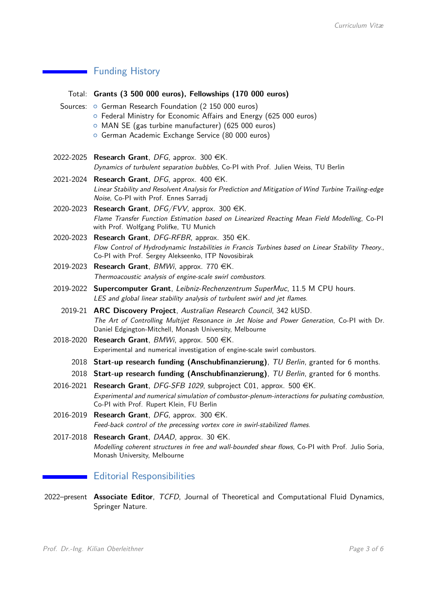# **Funding History**

|           | Total: Grants (3 500 000 euros), Fellowships (170 000 euros)                                                                                                                                                                              |
|-----------|-------------------------------------------------------------------------------------------------------------------------------------------------------------------------------------------------------------------------------------------|
|           | Sources: o German Research Foundation (2 150 000 euros)<br>○ Federal Ministry for Economic Affairs and Energy (625 000 euros)<br>O MAN SE (gas turbine manufacturer) (625 000 euros)<br>o German Academic Exchange Service (80 000 euros) |
|           |                                                                                                                                                                                                                                           |
|           | 2022-2025 Research Grant, DFG, approx. 300 $\in$ K.<br>Dynamics of turbulent separation bubbles, Co-PI with Prof. Julien Weiss, TU Berlin                                                                                                 |
|           | 2021-2024 Research Grant, DFG, approx. 400 $\in$ K.<br>Linear Stability and Resolvent Analysis for Prediction and Mitigation of Wind Turbine Trailing-edge<br>Noise, Co-PI with Prof. Ennes Sarradj                                       |
|           | 2020-2023 Research Grant, DFG/FVV, approx. 300 €K.<br>Flame Transfer Function Estimation based on Linearized Reacting Mean Field Modelling, Co-PI<br>with Prof. Wolfgang Polifke, TU Munich                                               |
| 2020-2023 | <b>Research Grant</b> , DFG-RFBR, approx. 350 $\in$ K.<br>Flow Control of Hydrodynamic Instabilities in Francis Turbines based on Linear Stability Theory.,<br>Co-PI with Prof. Sergey Alekseenko, ITP Novosibirak                        |
|           | 2019-2023 Research Grant, $BMWi$ , approx. 770 $\in$ K.<br>Thermoacoustic analysis of engine-scale swirl combustors.                                                                                                                      |
| 2019-2022 | <b>Supercomputer Grant</b> , Leibniz-Rechenzentrum SuperMuc, 11.5 M CPU hours.<br>LES and global linear stability analysis of turbulent swirl and jet flames.                                                                             |
|           | 2019-21 ARC Discovery Project, Australian Research Council, 342 kUSD.<br>The Art of Controlling Multijet Resonance in Jet Noise and Power Generation, Co-PI with Dr.<br>Daniel Edgington-Mitchell, Monash University, Melbourne           |
| 2018-2020 | <b>Research Grant</b> , <i>BMWi</i> , approx. 500 $\in$ K.<br>Experimental and numerical investigation of engine-scale swirl combustors.                                                                                                  |
|           | 2018 Start-up research funding (Anschubfinanzierung), TU Berlin, granted for 6 months.                                                                                                                                                    |
|           | 2018 Start-up research funding (Anschubfinanzierung), TU Berlin, granted for 6 months.                                                                                                                                                    |
| 2016-2021 | <b>Research Grant</b> , DFG-SFB 1029, subproject C01, approx. 500 $\in$ K.<br>Experimental and numerical simulation of combustor-plenum-interactions for pulsating combustion,<br>Co-PI with Prof. Rupert Klein, FU Berlin                |
|           | 2016-2019 Research Grant, DFG, approx. 300 $\in$ K.<br>Feed-back control of the precessing vortex core in swirl-stabilized flames.                                                                                                        |
| 2017-2018 | <b>Research Grant</b> , DAAD, approx. 30 $\in$ K.<br>Modelling coherent structures in free and wall-bounded shear flows, Co-PI with Prof. Julio Soria,<br>Monash University, Melbourne                                                    |
|           | <b>Editorial Responsibilities</b>                                                                                                                                                                                                         |

2022–present **Associate Editor**, TCFD, Journal of Theoretical and Computational Fluid Dynamics, Springer Nature.

۰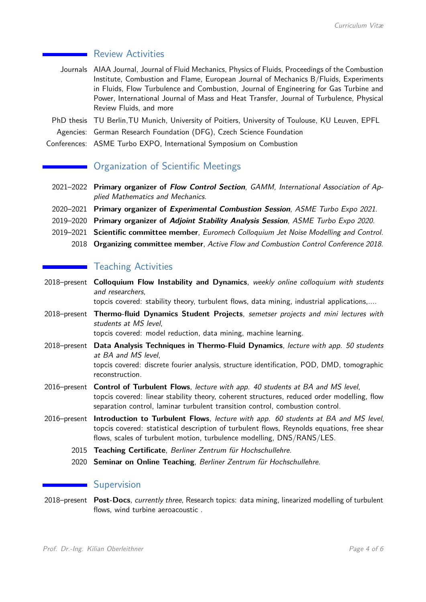#### Review Activities

- Journals AIAA Journal, Journal of Fluid Mechanics, Physics of Fluids, Proceedings of the Combustion Institute, Combustion and Flame, European Journal of Mechanics B/Fluids, Experiments in Fluids, Flow Turbulence and Combustion, Journal of Engineering for Gas Turbine and Power, International Journal of Mass and Heat Transfer, Journal of Turbulence, Physical Review Fluids, and more
- PhD thesis TU Berlin,TU Munich, University of Poitiers, University of Toulouse, KU Leuven, EPFL Agencies: German Research Foundation (DFG), Czech Science Foundation
- Conferences: ASME Turbo EXPO, International Symposium on Combustion

# Organization of Scientific Meetings

- 2021–2022 **Primary organizer of Flow Control Section**, GAMM, International Association of Applied Mathematics and Mechanics.
- 2020–2021 **Primary organizer of Experimental Combustion Session**, ASME Turbo Expo 2021.
- 2019–2020 **Primary organizer of Adjoint Stability Analysis Session**, ASME Turbo Expo 2020.
- 2019–2021 **Scientific committee member**, Euromech Colloquium Jet Noise Modelling and Control.
	- 2018 **Organizing committee member**, Active Flow and Combustion Control Conference 2018.

# **Teaching Activities**

2018–present **Colloquium Flow Instability and Dynamics**, weekly online colloquium with students and researchers,

topcis covered: stability theory, turbulent flows, data mining, industrial applications,....

2018–present **Thermo-fluid Dynamics Student Projects**, semetser projects and mini lectures with students at MS level,

topcis covered: model reduction, data mining, machine learning.

- 2018–present **Data Analysis Techniques in Thermo-Fluid Dynamics**, lecture with app. 50 students at BA and MS level, topcis covered: discrete fourier analysis, structure identification, POD, DMD, tomographic reconstruction.
- 2016–present **Control of Turbulent Flows**, lecture with app. 40 students at BA and MS level, topcis covered: linear stability theory, coherent structures, reduced order modelling, flow separation control, laminar turbulent transition control, combustion control.
- 2016–present **Introduction to Turbulent Flows**, lecture with app. 60 students at BA and MS level, topcis covered: statistical description of turbulent flows, Reynolds equations, free shear flows, scales of turbulent motion, turbulence modelling, DNS/RANS/LES.
	- 2015 **Teaching Certificate**, Berliner Zentrum für Hochschullehre.
	- 2020 **Seminar on Online Teaching**, Berliner Zentrum für Hochschullehre.

#### **Supervision**

2018–present **Post-Docs**, currently three, Research topics: data mining, linearized modelling of turbulent flows, wind turbine aeroacoustic .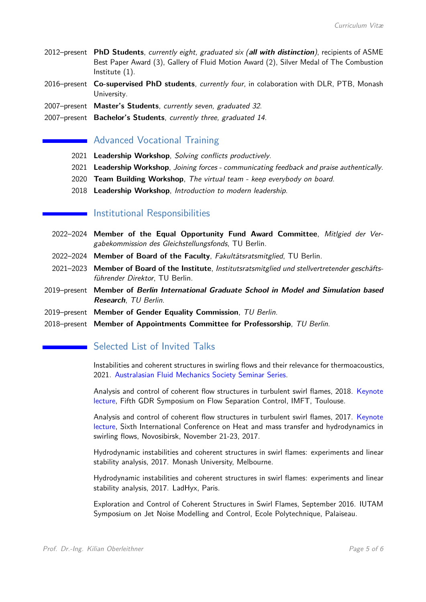- 2012–present **PhD Students**, currently eight, graduated six (**all with distinction**), recipients of ASME Best Paper Award (3), Gallery of Fluid Motion Award (2), Silver Medal of The Combustion Institute (1).
- 2016–present **Co-supervised PhD students**, currently four, in colaboration with DLR, PTB, Monash University.
- 2007–present **Master's Students**, currently seven, graduated 32.
- 2007–present **Bachelor's Students**, currently three, graduated 14.

# **Advanced Vocational Training**

- 2021 **Leadership Workshop**, Solving conflicts productively.
- 2021 **Leadership Workshop**, Joining forces communicating feedback and praise authentically.
- 2020 **Team Building Workshop**, The virtual team keep everybody on board.
- 2018 **Leadership Workshop**, Introduction to modern leadership.

#### Institutional Responsibilities

- 2022–2024 **Member of the Equal Opportunity Fund Award Committee**, Mitlgied der Vergabekommission des Gleichstellungsfonds, TU Berlin.
- 2022–2024 **Member of Board of the Faculty**, Fakultätsratsmitglied, TU Berlin.
- 2021–2023 **Member of Board of the Institute**, Institutsratsmitglied und stellvertretender geschäftsführender Direktor, TU Berlin.
- 2019–present **Member of Berlin International Graduate School in Model and Simulation based Research**, TU Berlin.
- 2019–present **Member of Gender Equality Commission**, TU Berlin.
- 2018–present **Member of Appointments Committee for Professorship**, TU Berlin.

# Selected List of Invited Talks

Instabilities and coherent structures in swirling flows and their relevance for thermoacoustics, 2021. Australasian Fluid Mechanics Society Seminar Series.

Analysis and control of coherent flow structures in turbulent swirl flames, 2018. Keynote lecture, Fifth GDR Symposium on Flow Separation Control, IMFT, Toulouse.

Analysis and control of coherent flow structures in turbulent swirl flames, 2017. Keynote lecture, Sixth International Conference on Heat and mass transfer and hydrodynamics in swirling flows, Novosibirsk, November 21-23, 2017.

Hydrodynamic instabilities and coherent structures in swirl flames: experiments and linear stability analysis, 2017. Monash University, Melbourne.

Hydrodynamic instabilities and coherent structures in swirl flames: experiments and linear stability analysis, 2017. LadHyx, Paris.

Exploration and Control of Coherent Structures in Swirl Flames, September 2016. IUTAM Symposium on Jet Noise Modelling and Control, Ecole Polytechnique, Palaiseau.

**The College of the College**